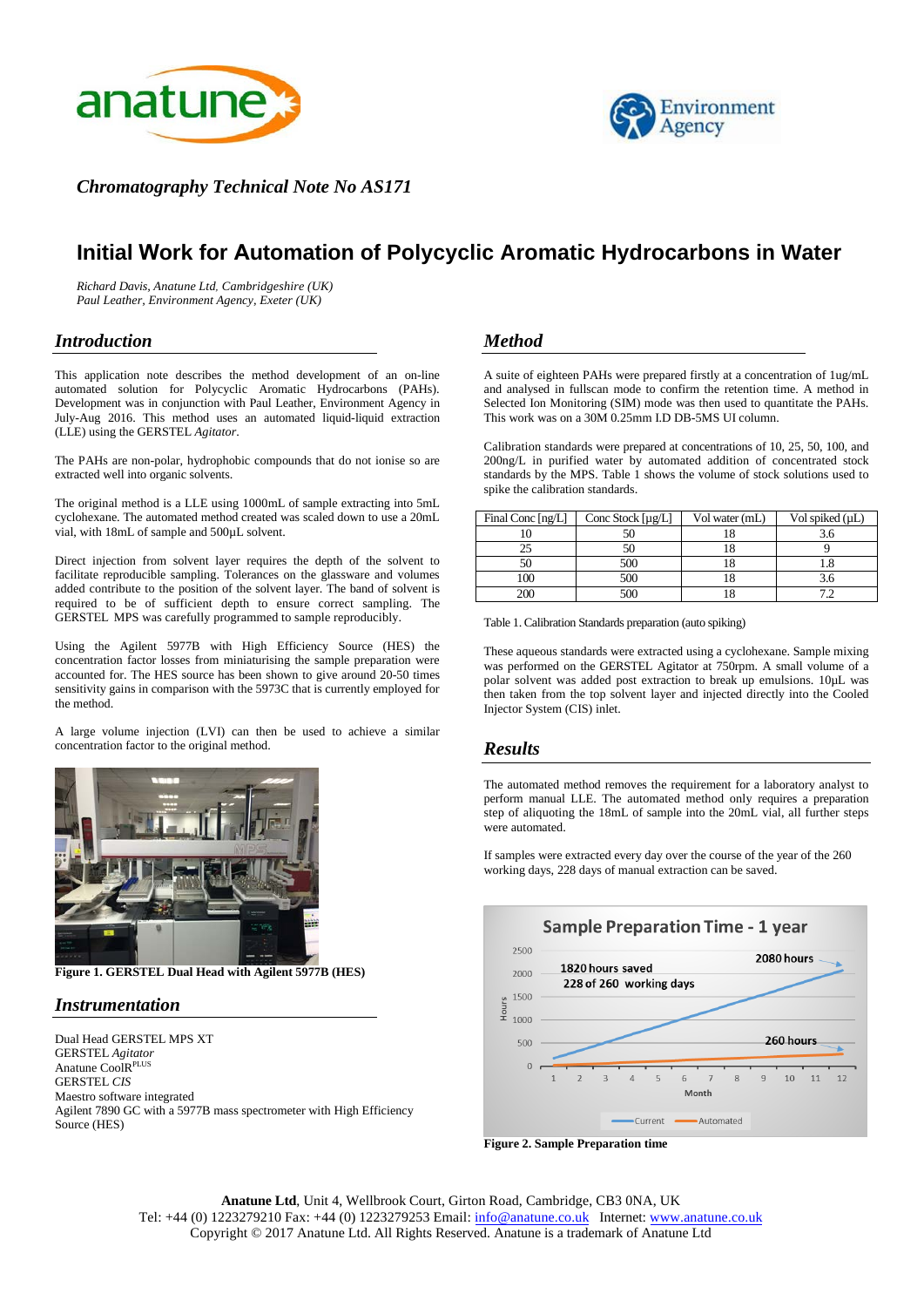



*Chromatography Technical Note No AS171* 

# **Initial Work for Automation of Polycyclic Aromatic Hydrocarbons in Water**

*Richard Davis, Anatune Ltd, Cambridgeshire (UK) Paul Leather, Environment Agency, Exeter (UK)* 

# *Introduction*

This application note describes the method development of an on-line automated solution for Polycyclic Aromatic Hydrocarbons (PAHs). Development was in conjunction with Paul Leather, Environment Agency in July-Aug 2016. This method uses an automated liquid-liquid extraction (LLE) using the GERSTEL *Agitator*.

The PAHs are non-polar, hydrophobic compounds that do not ionise so are extracted well into organic solvents.

The original method is a LLE using 1000mL of sample extracting into 5mL cyclohexane. The automated method created was scaled down to use a 20mL vial, with 18mL of sample and 500µL solvent.

Direct injection from solvent layer requires the depth of the solvent to facilitate reproducible sampling. Tolerances on the glassware and volumes added contribute to the position of the solvent layer. The band of solvent is required to be of sufficient depth to ensure correct sampling. The GERSTEL MPS was carefully programmed to sample reproducibly.

Using the Agilent 5977B with High Efficiency Source (HES) the concentration factor losses from miniaturising the sample preparation were accounted for. The HES source has been shown to give around 20-50 times sensitivity gains in comparison with the 5973C that is currently employed for the method.

A large volume injection (LVI) can then be used to achieve a similar concentration factor to the original method.



**Figure 1. GERSTEL Dual Head with Agilent 5977B (HES)**

# *Instrumentation*

Dual Head GERSTEL MPS XT GERSTEL *Agitator* Anatune CoolRPLUS GERSTEL *CIS* Maestro software integrated Agilent 7890 GC with a 5977B mass spectrometer with High Efficiency Source (HES)

# *Method*

A suite of eighteen PAHs were prepared firstly at a concentration of 1ug/mL and analysed in fullscan mode to confirm the retention time. A method in Selected Ion Monitoring (SIM) mode was then used to quantitate the PAHs. This work was on a 30M 0.25mm I.D DB-5MS UI column.

Calibration standards were prepared at concentrations of 10, 25, 50, 100, and 200ng/L in purified water by automated addition of concentrated stock standards by the MPS. Table 1 shows the volume of stock solutions used to spike the calibration standards.

| Final Conc [ng/L] | Conc Stock [µg/L] | Vol water (mL) | Vol spiked $(\mu L)$ |
|-------------------|-------------------|----------------|----------------------|
|                   |                   |                |                      |
|                   |                   |                |                      |
|                   | 500               |                |                      |
| 100               | 500               |                |                      |
| 200               | 500               |                |                      |

Table 1. Calibration Standards preparation (auto spiking)

These aqueous standards were extracted using a cyclohexane. Sample mixing was performed on the GERSTEL Agitator at 750rpm. A small volume of a polar solvent was added post extraction to break up emulsions. 10µL was then taken from the top solvent layer and injected directly into the Cooled Injector System (CIS) inlet.

# *Results*

The automated method removes the requirement for a laboratory analyst to perform manual LLE. The automated method only requires a preparation step of aliquoting the 18mL of sample into the 20mL vial, all further steps were automated.

If samples were extracted every day over the course of the year of the 260 working days, 228 days of manual extraction can be saved.



**Figure 2. Sample Preparation time**